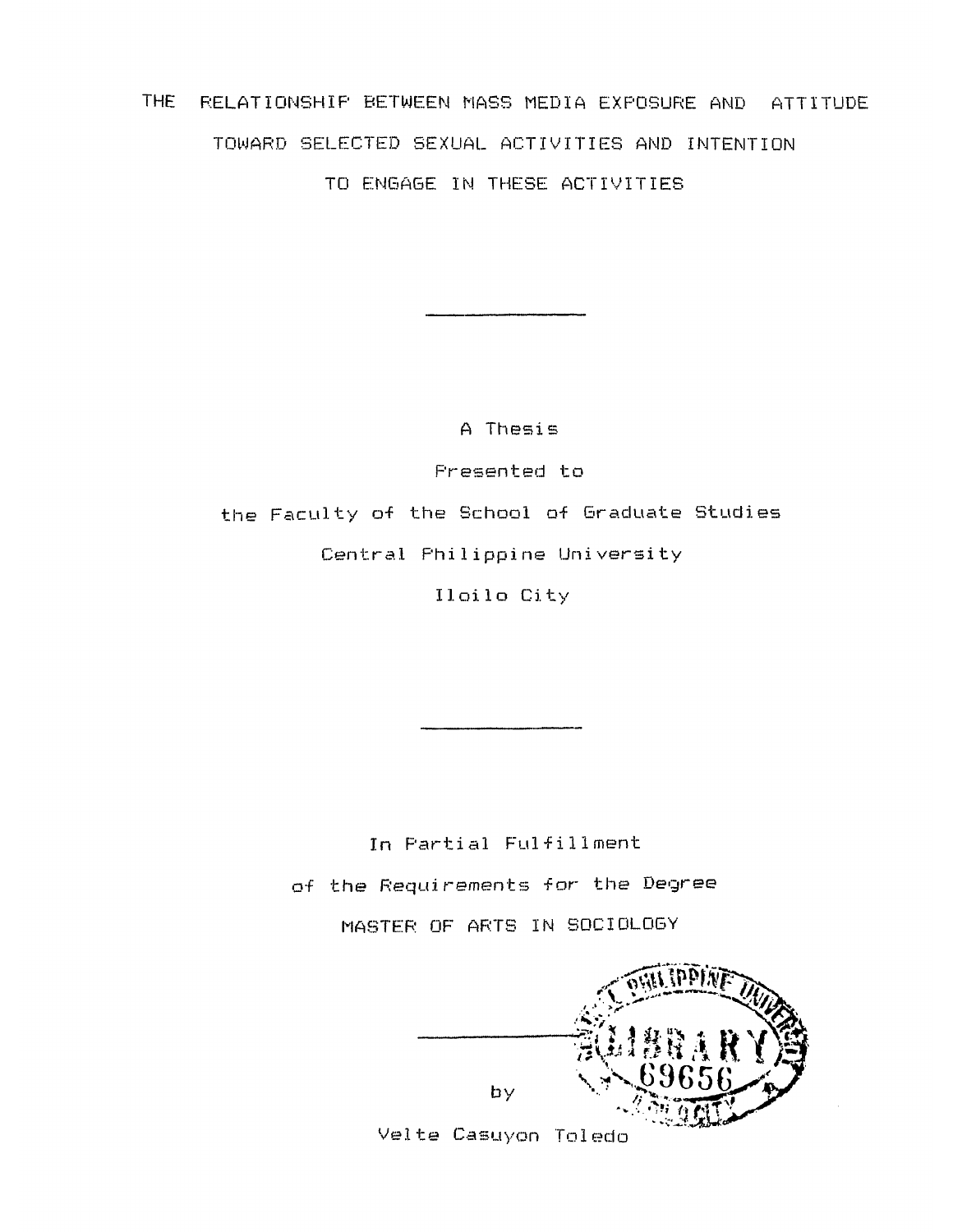THE RELATIONSHIP BETWEEN MASS MEDIA EXPOSURE AND ATTITUDE TOWARD SELECTED SEXUAL ACTIVITIES AND INTENTION TO ENGAGE IN THESE ACTIVITIES

> A Thesis Presented to the Faculty of the School of Graduate Studies Central Philippine University Iloilo City

> > In Partial Fulfillment of the Requirements for the Degree MASTER OF ARTS IN SOCIOLOGY

by

Velte Casuyon Toledo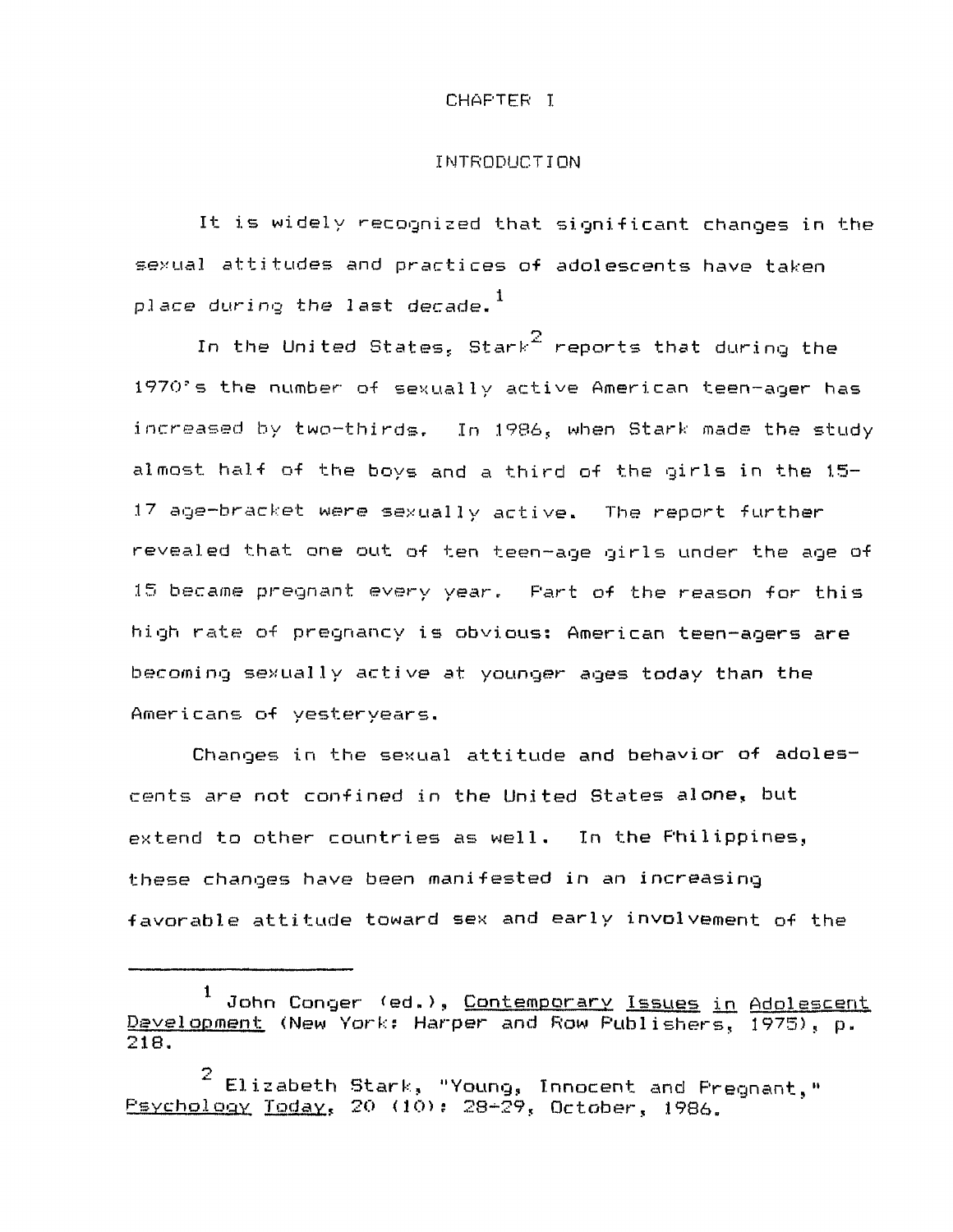## CHAPTER I

## INTRODUCTION

It is widely recognized that significant changes in the sexual attitudes and practices of adolescents have taken place during the last decade. $^{\mathrm{1}}$ 

In the United States, Stark $^2$  reports that during the 1970's the number of sexually active American teen-ager has increased by two-thirds. In 1986, when Stark made the study almost half of the boys and a third of the girls in the 1.5- 17 age-bracket were sexually active. The report further revealed that one out of ten teen-age girls under the age of 15 became pregnant every year. Part of the reason for this high rate of pregnancy is obvious: American teen-agers are becoming sexually active at younger ages today than the Americans of yesteryears.

Changes in the sexual attitude and behavior of adolescents are not confined in the United States alone, but extend to other countries as well. In the Philippines, these changes have been manifested in an increasing favorable attitude toward sex and early involvement of the

John Conger (ed.), Contemporary Issues in Adolescent Development (New York: Harper and Row Publishers, 1975), p. 218.

<sup>2</sup> Elizabeth Stark, "Young, Innocent and Pregnant," Psychology Today, 20 (10): 28-29, October, 1986.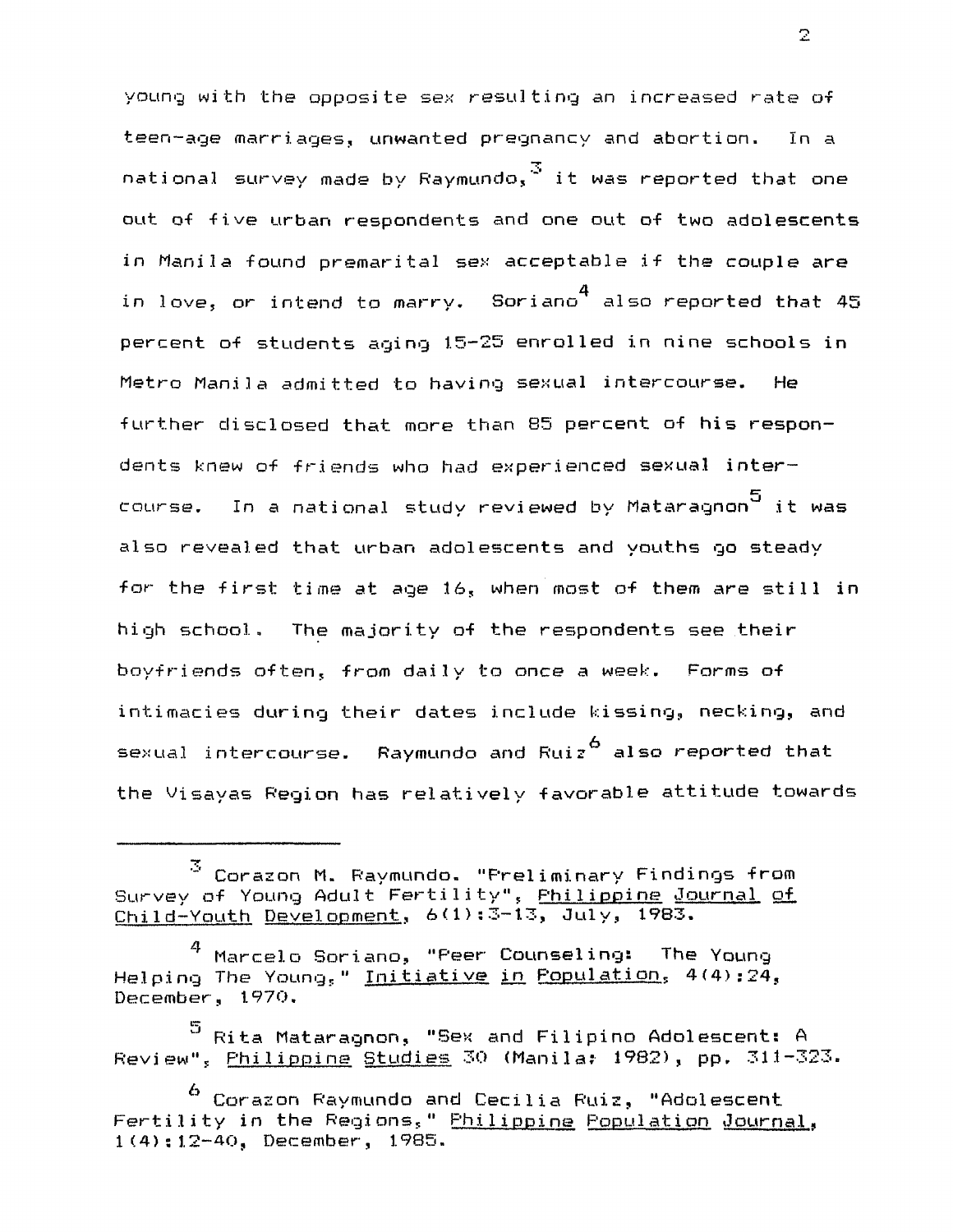young with the opposite sex resulting an increased rate of teen-age marriages, unwanted pregnancy and abortion. In a national survey made by Raymundo.  $3$  it was reported that one out of five urban respondents and one out of two adolescents in Manila found premarital sex acceptable if the couple are in love, or intend to marry. Soriano $^4$  also reported that 45 percent of students aging 15-25 enrolled in nine schools in Metro Manila admitted to having sexual intercourse. He further disclosed that more than 85 percent of his respondents knew of friends who had experienced sexual intercourse. In a national study reviewed by Mataragnon5 it was also revealed that urban adolescents and youths go steady for the first time at age 16, when most of them are still in high school. The majority of the respondents see their boyfriends often, from daily to once a week. Forms of intimacies during their dates include kissing, necking, and sexual intercourse. Raymundo and Ruiz<sup>6</sup> also reported that the Visayas Region has relatively favorable attitude towards

 $\mathbf{Z}$ 

<sup>3</sup> Corazon M. Raymundo. "Preliminary Findings from Survey of Young Adult Fertility", Philippine Journal of  $Chi1d-Youth$  Development,  $6(1):3-13$ , July, 1983.

 $^4$  Marcelo Soriano, "Peer Counseling: The Young Helping The Young," Initiative in Population, 4(4):24, December, 1970,

<sup>5</sup> Rita Mataragnon, "Sex and Filipino Adolescent: A Review", Philippine Studies 30 (Manila: 1982), pp. 311-323.

<sup>6</sup> Corazon Raymundo and Cecilia Ruiz, "Adolescent Fertility in the Regions," Philippine Population Journal, 1(4): 12-40, December, 1985.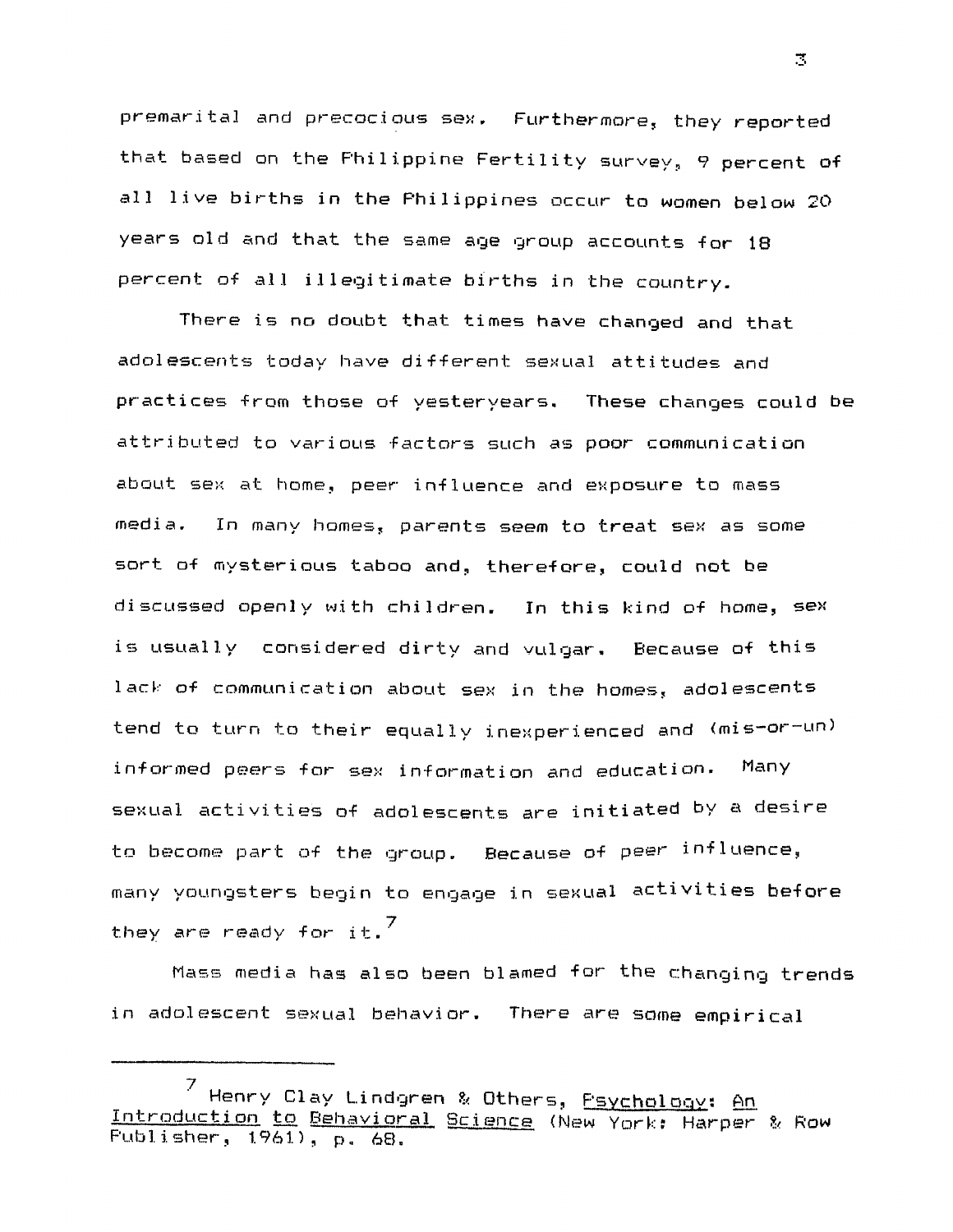premarital and precocious sex. Furthermore, they reported that based on the Philippine Fertility survey, 9 percent of all live births in the Philippines occur to women below 20 years old and that the same age group accounts for 18 percent of all illegitimate births in the country.

There is no doubt that times have changed and that adolescents today have different sexual attitudes and practices from those of yesteryears. These changes could be attributed to various factors such as poor communication about sex at home, peer influence and exposure to mass media. In many homes, parents seem to treat sex as some sort of mysterious taboo and, therefore, could not be discussed openly with children. In this kind of home, sex is usually considered dirty and vulgar. Because of this lack of communication about sex in the homes, adolescents tend to turn to their equally inexperienced and (mis-or-un) informed peers for sex information and education. Many sexual activities of adolescents are initiated by a desire to become part of the group. Because of peer influence, many youngsters begin to engage in sexual activities before they are ready for  $it.^7$ 

Mass media has also been blamed for the changing trends in adolescent sexual behavior. There are some empirical

3

<sup>7</sup> Henry Clay Lindgren & Others, <u>Psychology</u>: An Introduction to Behavioral Science (New York: Harper & Row Publisher, 1961), p. 68.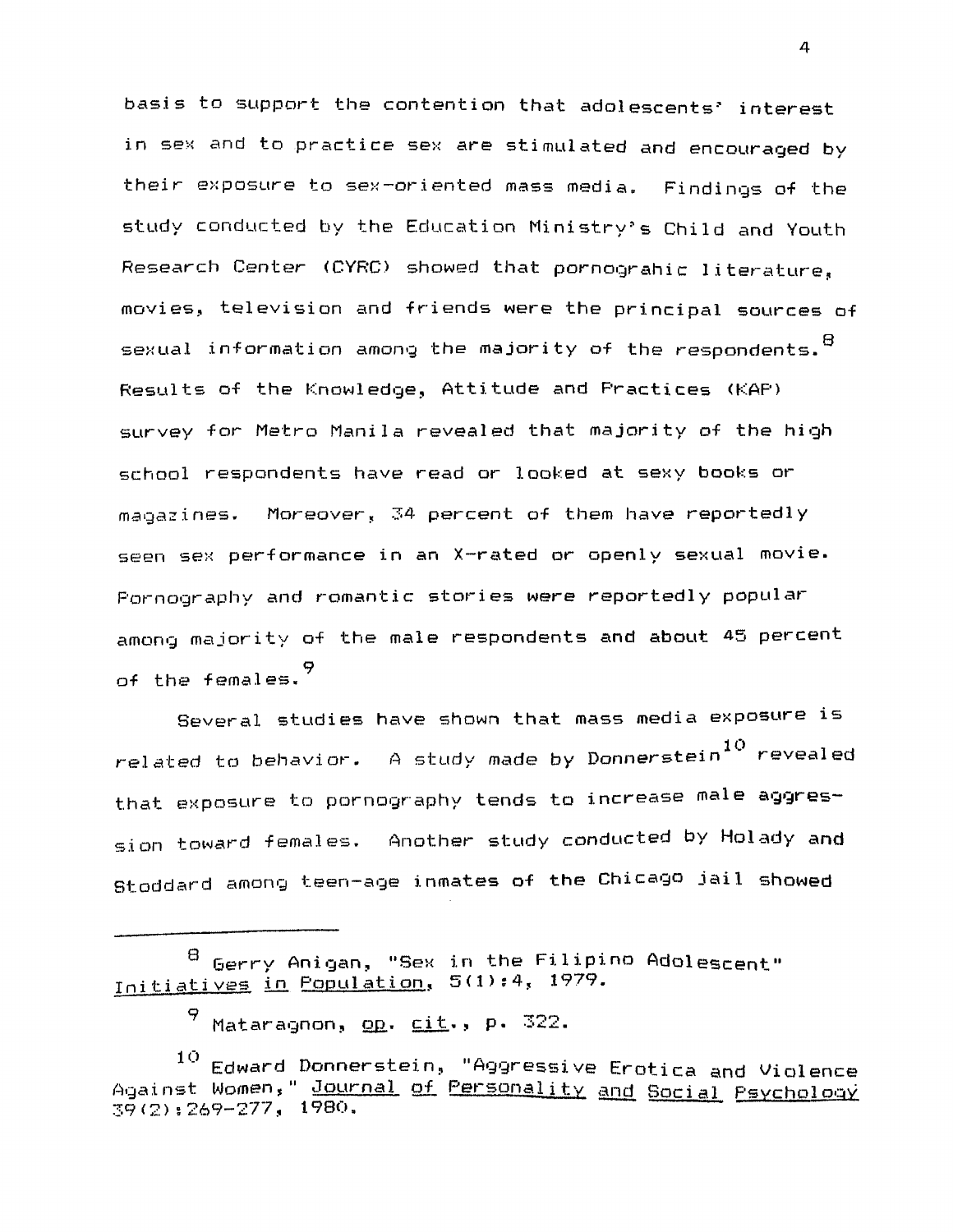basis to support the contention that adolescents' interest in sex and to practice sex are stimulated and encouraged by their exposure to sex-oriented mass media. Findings of the study conducted by the Education Ministry's Child and Youth Research Center (CYRC) showed that pornograhic literature, movies, television and friends were the principal sources of sexual information among the majority of the respondents.  $^\mathrm{B}$ Results of the Knowledge, Attitude and Practices (KAP) survey for Metro Manila revealed that majority of the high school respondents have read or looked at sexy books or magazines. Moreover, 34 percent of them have reportedly seen sex performance in an X-rated or openly sexual movie. Pornography and romantic stories were reportedly popular among majority of the male respondents and about 45 percent of the females.  $9$ 

Several studies have shown that mass media exposure is related to behavior. A study made by Donnerstein $^{10}$  revealed that exposure to pornography tends to increase male aggression toward females. Another study conducted by Holady and Stoddard among teen-age inmates of the Chicago jail showed

4

Gerry Anigan, "Sex in the Filipino Adolescent" Initiatives in Population, 5(1) : 4, 1979.

Mataragnon, op. cit., p. 322.

<sup>10</sup> Edward Donnerstein, "Aggressive Erotica and Violence Against Women," Journal of Personality and Social Psychology 39(2): 269-277, 1980.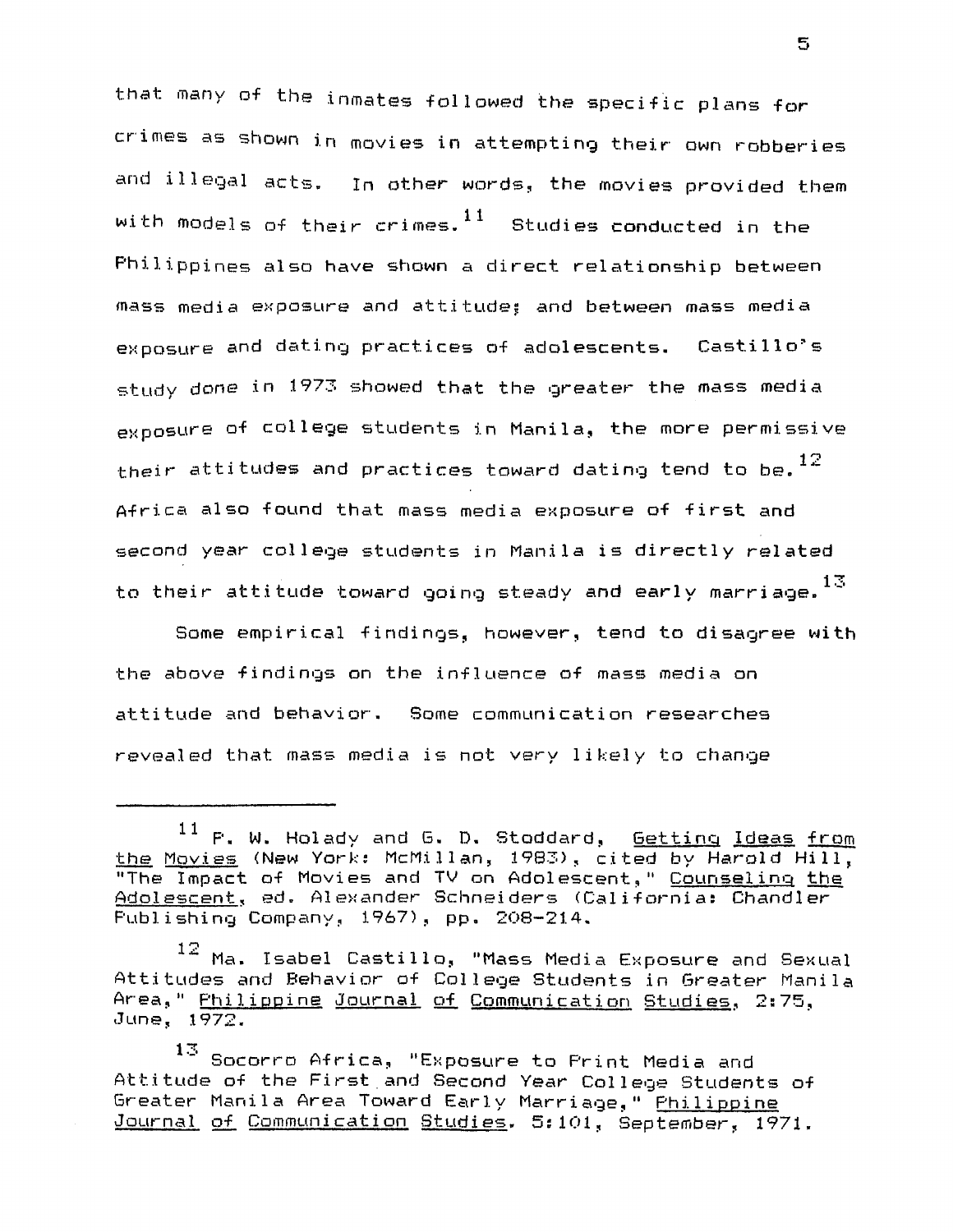that many of the inmates followed the specific plans for crimes as shown in movies in attempting their own robberies and illegal acts. In other words, the movies provided them with models of their crimes. $^{11}$  Studies conducted in the Philippines also have shown a direct relationship between mass media exposure and attitudes and between mass media exposure and dating practices of adolescents. Castillo's study done in 1973 showed that the greater the mass media exposure of college students in Manila, the more permissive their attitudes and practices toward dating tend to be.  $^{12}$ Africa also found that mass media exposure of first and second year college students in Manila is directly related to their attitude toward going steady and early marriage. $^{13}$ 

Some empirical findings, however, tend to disagree with the above findings on the influence of mass media on attitude and behavior. Some communication researches revealed that mass media is not very likely to change

5

 $^{11}$  P. W. Holady and G. D. Stoddard,  $\overline{\rm{Getting}}$  Ideas from the Movies (New York: McMillan, 1983), cited by Harold Hill, "The Impact of Movies and TV on Adolescent," Counseling the Adolescent. ed. Alexander Schneiders (California: Chandler Publishing Company, 1967), pp, 208-214.

<sup>12</sup> Ma. Isabel Castillo, "Mass Media Exposure and Sexual Attitudes and Behavior of College Students in Greater Manila Area," Philippine Journal of Communication Studies, 2:75, June, 1972.

<sup>13</sup>  13Socorro Africa, "Exposure to Print Media and Attitude of the First and Second Year College Students of Greater Manila Area Toward Early Marriage," Philippine Journal of Communication Studies. 5:101, September, 1971.